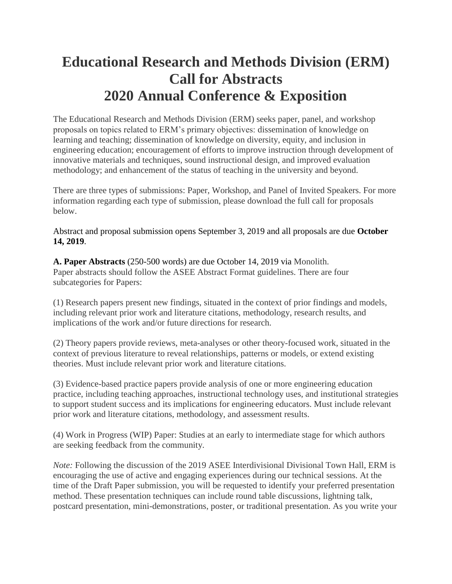## **Educational Research and Methods Division (ERM) Call for Abstracts 2020 Annual Conference & Exposition**

The Educational Research and Methods Division (ERM) seeks paper, panel, and workshop proposals on topics related to ERM's primary objectives: dissemination of knowledge on learning and teaching; dissemination of knowledge on diversity, equity, and inclusion in engineering education; encouragement of efforts to improve instruction through development of innovative materials and techniques, sound instructional design, and improved evaluation methodology; and enhancement of the status of teaching in the university and beyond.

There are three types of submissions: Paper, Workshop, and Panel of Invited Speakers. For more information regarding each type of submission, please download the full call for proposals below.

Abstract and proposal submission opens September 3, 2019 and all proposals are due **October 14, 2019**.

**A. Paper Abstracts** (250-500 words) are due October 14, 2019 via Monolith. Paper abstracts should follow the ASEE Abstract Format guidelines. There are four subcategories for Papers:

(1) Research papers present new findings, situated in the context of prior findings and models, including relevant prior work and literature citations, methodology, research results, and implications of the work and/or future directions for research.

(2) Theory papers provide reviews, meta-analyses or other theory-focused work, situated in the context of previous literature to reveal relationships, patterns or models, or extend existing theories. Must include relevant prior work and literature citations.

(3) Evidence-based practice papers provide analysis of one or more engineering education practice, including teaching approaches, instructional technology uses, and institutional strategies to support student success and its implications for engineering educators. Must include relevant prior work and literature citations, methodology, and assessment results.

(4) Work in Progress (WIP) Paper: Studies at an early to intermediate stage for which authors are seeking feedback from the community.

*Note:* Following the discussion of the 2019 ASEE Interdivisional Divisional Town Hall, ERM is encouraging the use of active and engaging experiences during our technical sessions. At the time of the Draft Paper submission, you will be requested to identify your preferred presentation method. These presentation techniques can include round table discussions, lightning talk, postcard presentation, mini-demonstrations, poster, or traditional presentation. As you write your